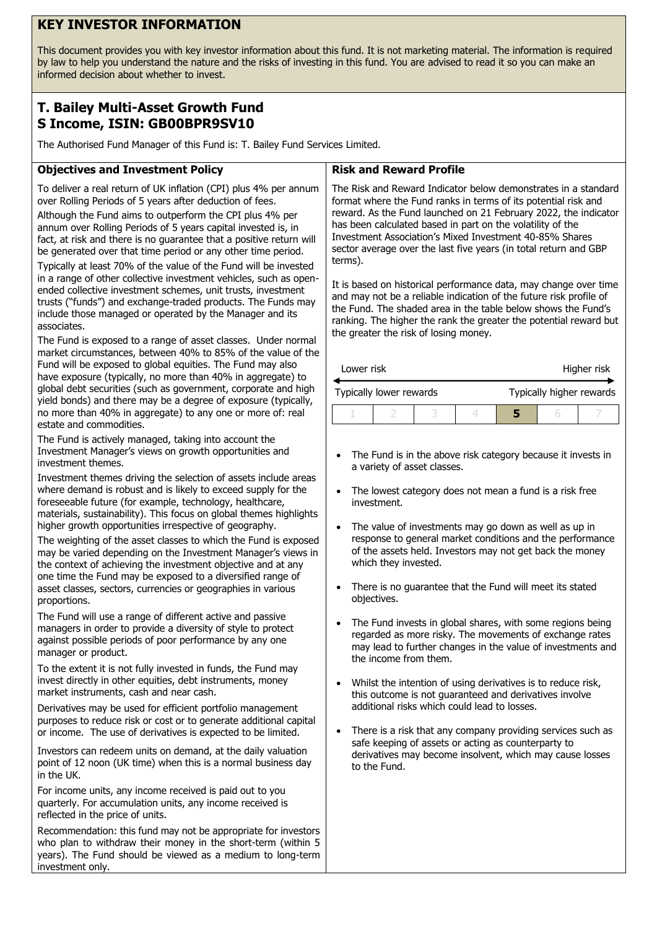# **KEY INVESTOR INFORMATION**

This document provides you with key investor information about this fund. It is not marketing material. The information is required by law to help you understand the nature and the risks of investing in this fund. You are advised to read it so you can make an informed decision about whether to invest.

## **T. Bailey Multi-Asset Growth Fund S Income, ISIN: GB00BPR9SV10**

The Authorised Fund Manager of this Fund is: T. Bailey Fund Services Limited.

### **Objectives and Investment Policy**

To deliver a real return of UK inflation (CPI) plus 4% per annum over Rolling Periods of 5 years after deduction of fees.

Although the Fund aims to outperform the CPI plus 4% per annum over Rolling Periods of 5 years capital invested is, in fact, at risk and there is no guarantee that a positive return will be generated over that time period or any other time period.

Typically at least 70% of the value of the Fund will be invested in a range of other collective investment vehicles, such as openended collective investment schemes, unit trusts, investment trusts ("funds") and exchange-traded products. The Funds may include those managed or operated by the Manager and its associates.

The Fund is exposed to a range of asset classes. Under normal market circumstances, between 40% to 85% of the value of the Fund will be exposed to global equities. The Fund may also have exposure (typically, no more than 40% in aggregate) to global debt securities (such as government, corporate and high yield bonds) and there may be a degree of exposure (typically, no more than 40% in aggregate) to any one or more of: real estate and commodities.

The Fund is actively managed, taking into account the Investment Manager's views on growth opportunities and investment themes.

Investment themes driving the selection of assets include areas where demand is robust and is likely to exceed supply for the foreseeable future (for example, technology, healthcare, materials, sustainability). This focus on global themes highlights higher growth opportunities irrespective of geography.

The weighting of the asset classes to which the Fund is exposed may be varied depending on the Investment Manager's views in the context of achieving the investment objective and at any one time the Fund may be exposed to a diversified range of asset classes, sectors, currencies or geographies in various proportions.

The Fund will use a range of different active and passive managers in order to provide a diversity of style to protect against possible periods of poor performance by any one manager or product.

To the extent it is not fully invested in funds, the Fund may invest directly in other equities, debt instruments, money market instruments, cash and near cash.

Derivatives may be used for efficient portfolio management purposes to reduce risk or cost or to generate additional capital or income. The use of derivatives is expected to be limited.

Investors can redeem units on demand, at the daily valuation point of 12 noon (UK time) when this is a normal business day in the UK.

For income units, any income received is paid out to you quarterly. For accumulation units, any income received is reflected in the price of units.

Recommendation: this fund may not be appropriate for investors who plan to withdraw their money in the short-term (within 5 years). The Fund should be viewed as a medium to long-term investment only.

#### **Risk and Reward Profile**

The Risk and Reward Indicator below demonstrates in a standard format where the Fund ranks in terms of its potential risk and reward. As the Fund launched on 21 February 2022, the indicator has been calculated based in part on the volatility of the Investment Association's Mixed Investment 40-85% Shares sector average over the last five years (in total return and GBP terms).

It is based on historical performance data, may change over time and may not be a reliable indication of the future risk profile of the Fund. The shaded area in the table below shows the Fund's ranking. The higher the rank the greater the potential reward but the greater the risk of losing money.

| Lower risk              |  |  |  | Higher risk              |  |  |
|-------------------------|--|--|--|--------------------------|--|--|
| Typically lower rewards |  |  |  | Typically higher rewards |  |  |
|                         |  |  |  |                          |  |  |

- The Fund is in the above risk category because it invests in a variety of asset classes.
- The lowest category does not mean a fund is a risk free investment.
- The value of investments may go down as well as up in response to general market conditions and the performance of the assets held. Investors may not get back the money which they invested.
- There is no guarantee that the Fund will meet its stated objectives.
- The Fund invests in global shares, with some regions being regarded as more risky. The movements of exchange rates may lead to further changes in the value of investments and the income from them.
- Whilst the intention of using derivatives is to reduce risk, this outcome is not guaranteed and derivatives involve additional risks which could lead to losses.
- There is a risk that any company providing services such as safe keeping of assets or acting as counterparty to derivatives may become insolvent, which may cause losses to the Fund.